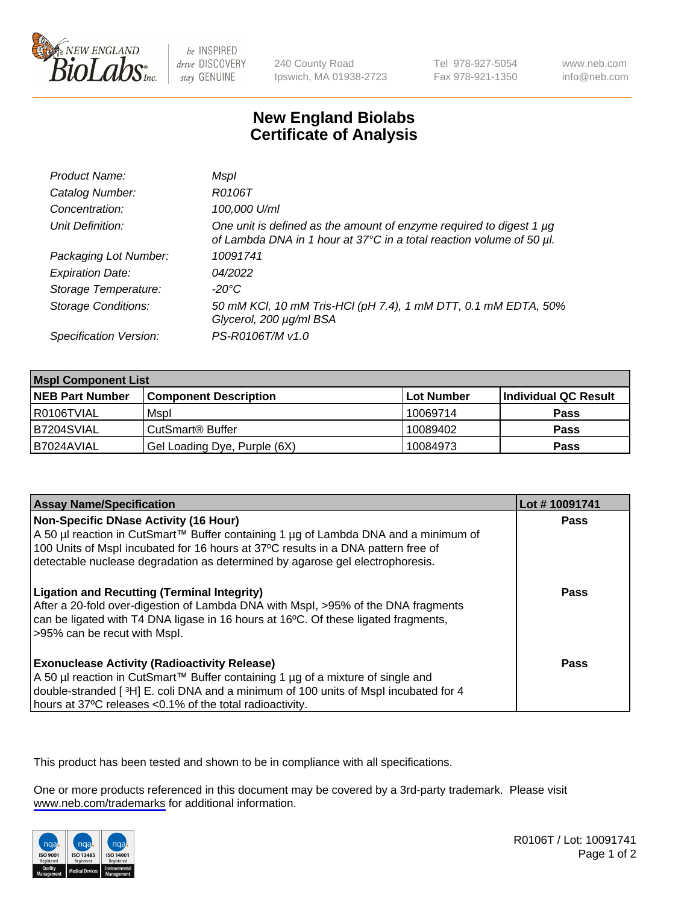

be INSPIRED drive DISCOVERY stay GENUINE

240 County Road Ipswich, MA 01938-2723 Tel 978-927-5054 Fax 978-921-1350

www.neb.com info@neb.com

## **New England Biolabs Certificate of Analysis**

| Product Name:              | Mspl                                                                                                                                             |
|----------------------------|--------------------------------------------------------------------------------------------------------------------------------------------------|
| Catalog Number:            | R0106T                                                                                                                                           |
| Concentration:             | 100,000 U/ml                                                                                                                                     |
| Unit Definition:           | One unit is defined as the amount of enzyme required to digest 1 $\mu$ g<br>of Lambda DNA in 1 hour at 37°C in a total reaction volume of 50 µl. |
| Packaging Lot Number:      | 10091741                                                                                                                                         |
| <b>Expiration Date:</b>    | 04/2022                                                                                                                                          |
| Storage Temperature:       | -20°C                                                                                                                                            |
| <b>Storage Conditions:</b> | 50 mM KCl, 10 mM Tris-HCl (pH 7.4), 1 mM DTT, 0.1 mM EDTA, 50%<br>Glycerol, 200 µg/ml BSA                                                        |
| Specification Version:     | PS-R0106T/M v1.0                                                                                                                                 |

| <b>Mspl Component List</b> |                              |                   |                      |  |
|----------------------------|------------------------------|-------------------|----------------------|--|
| <b>NEB Part Number</b>     | <b>Component Description</b> | <b>Lot Number</b> | Individual QC Result |  |
| I R0106TVIAL               | Mspl                         | 10069714          | <b>Pass</b>          |  |
| B7204SVIAL                 | CutSmart <sup>®</sup> Buffer | 10089402          | <b>Pass</b>          |  |
| IB7024AVIAL                | Gel Loading Dye, Purple (6X) | 10084973          | <b>Pass</b>          |  |

| <b>Assay Name/Specification</b>                                                                                                                                                                                                                                                                           | Lot #10091741 |
|-----------------------------------------------------------------------------------------------------------------------------------------------------------------------------------------------------------------------------------------------------------------------------------------------------------|---------------|
| <b>Non-Specific DNase Activity (16 Hour)</b><br>A 50 µl reaction in CutSmart™ Buffer containing 1 µg of Lambda DNA and a minimum of<br>100 Units of Mspl incubated for 16 hours at 37°C results in a DNA pattern free of<br>detectable nuclease degradation as determined by agarose gel electrophoresis. | <b>Pass</b>   |
| <b>Ligation and Recutting (Terminal Integrity)</b><br>After a 20-fold over-digestion of Lambda DNA with Mspl, >95% of the DNA fragments<br>can be ligated with T4 DNA ligase in 16 hours at 16°C. Of these ligated fragments,<br>>95% can be recut with Mspl.                                             | Pass          |
| <b>Exonuclease Activity (Radioactivity Release)</b><br>A 50 µl reaction in CutSmart™ Buffer containing 1 µg of a mixture of single and<br>double-stranded [3H] E. coli DNA and a minimum of 100 units of Mspl incubated for 4<br>hours at 37°C releases <0.1% of the total radioactivity.                 | Pass          |

This product has been tested and shown to be in compliance with all specifications.

One or more products referenced in this document may be covered by a 3rd-party trademark. Please visit <www.neb.com/trademarks>for additional information.